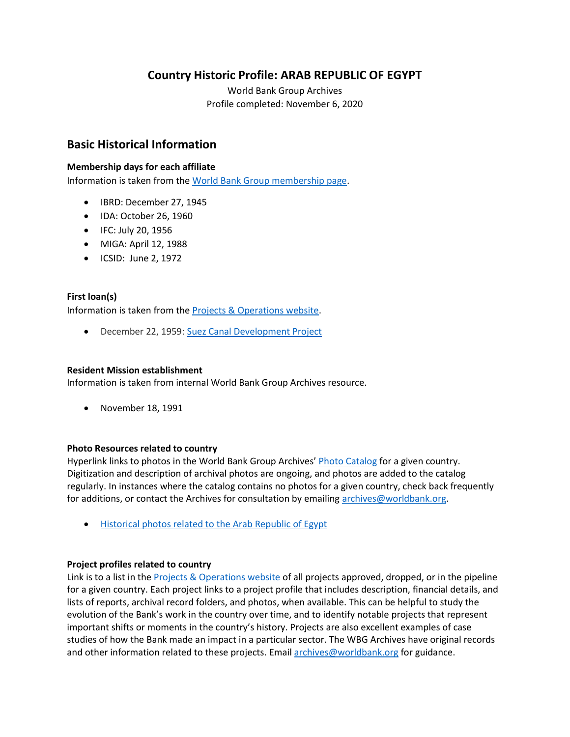## **Country Historic Profile: ARAB REPUBLIC OF EGYPT**

World Bank Group Archives Profile completed: November 6, 2020

### **Basic Historical Information**

#### **Membership days for each affiliate**

Information is taken from the [World Bank Group membership page.](https://www.worldbank.org/en/about/leadership/members#1)

- IBRD: December 27, 1945
- IDA: October 26, 1960
- IFC: July 20, 1956
- MIGA: April 12, 1988
- ICSID: June 2, 1972

#### **First loan(s)**

Information is taken from the [Projects & Operations website.](https://projects.worldbank.org/)

• December 22, 1959: [Suez Canal Development Project](https://projects.worldbank.org/en/projects-operations/project-detail/P004982)

#### **Resident Mission establishment**

Information is taken from internal World Bank Group Archives resource.

• November 18, 1991

#### **Photo Resources related to country**

Hyperlink links to photos in the World Bank Group Archives' [Photo Catalog](https://archivesphotos.worldbank.org/en/about/archives/photo-gallery) for a given country. Digitization and description of archival photos are ongoing, and photos are added to the catalog regularly. In instances where the catalog contains no photos for a given country, check back frequently for additions, or contact the Archives for consultation by emailing [archives@worldbank.org.](mailto:archives@worldbank.org)

• [Historical photos related to the Arab Republic of Egypt](https://archivesphotos.worldbank.org/en/about/archives/photo-gallery/photo-gallery-landing?wbg_country=Egypt%2C%20Arab%20Republic%20of) 

#### **Project profiles related to country**

Link is to a list in the **Projects & Operations website of all projects approved**, dropped, or in the pipeline for a given country. Each project links to a project profile that includes description, financial details, and lists of reports, archival record folders, and photos, when available. This can be helpful to study the evolution of the Bank's work in the country over time, and to identify notable projects that represent important shifts or moments in the country's history. Projects are also excellent examples of case studies of how the Bank made an impact in a particular sector. The WBG Archives have original records and other information related to these projects. Email [archives@worldbank.org](mailto:archives@worldbank.org) for guidance.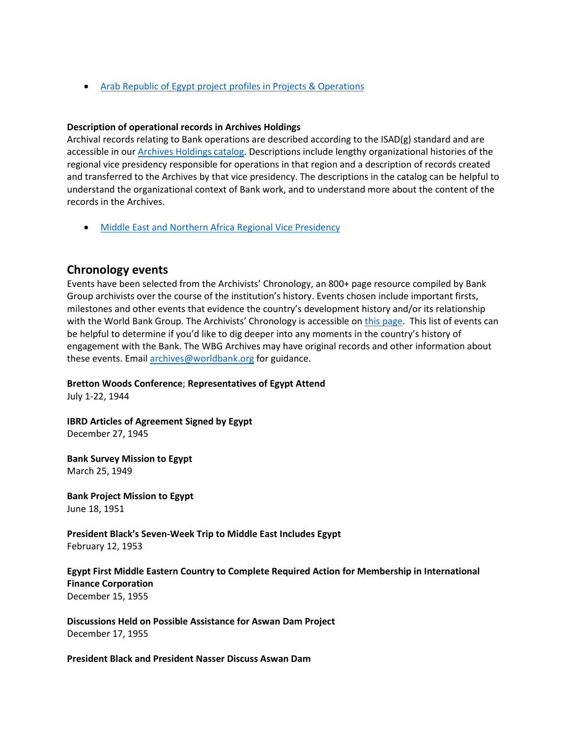• [Arab Republic of](https://projects.worldbank.org/en/projects-operations/projects-summary?countrycode_exact=EG) [Egypt project profiles in Projects & Operations](https://projects.worldbank.org/en/projects-operations/projects-summary?countrycode_exact=EG)

#### **Description of operational records in Archives Holdings**

Archival records relating to Bank operations are described according to the ISAD(g) standard and are accessible in our [Archives Holdings catalog.](https://archivesholdings.worldbank.org/) Descriptions include lengthy organizational histories of the regional vice presidency responsible for operations in that region and a description of records created and transferred to the Archives by that vice presidency. The descriptions in the catalog can be helpful to understand the organizational context of Bank work, and to understand more about the content of the records in the Archives.

• [Middle East and Northern Africa Regional Vice Presidency](https://archivesholdings.worldbank.org/records-of-middle-east-and-north-africa-regional-vice-presidency)

#### **Chronology events**

Events have been selected from the Archivists' Chronology, an 800+ page resource compiled by Bank Group archivists over the course of the institution's history. Events chosen include important firsts, milestones and other events that evidence the country's development history and/or its relationship with the World Bank Group. The Archivists' Chronology is accessible on [this page.](https://www.worldbank.org/en/about/archives/history/timeline) This list of events can be helpful to determine if you'd like to dig deeper into any moments in the country's history of engagement with the Bank. The WBG Archives may have original records and other information about these events. Email [archives@worldbank.org](mailto:archives@worldbank.org) for guidance.

**Bretton Woods Conference**; **Representatives of Egypt Attend**

July 1-22, 1944

**IBRD Articles of Agreement Signed by Egypt**  December 27, 1945

**Bank Survey Mission to Egypt**  March 25, 1949

**Bank Project Mission to Egypt**  June 18, 1951

**President Black's Seven-Week Trip to Middle East Includes Egypt** February 12, 1953

#### **Egypt First Middle Eastern Country to Complete Required Action for Membership in International Finance Corporation**  December 15, 1955

**Discussions Held on Possible Assistance for Aswan Dam Project**  December 17, 1955

**President Black and President Nasser Discuss Aswan Dam**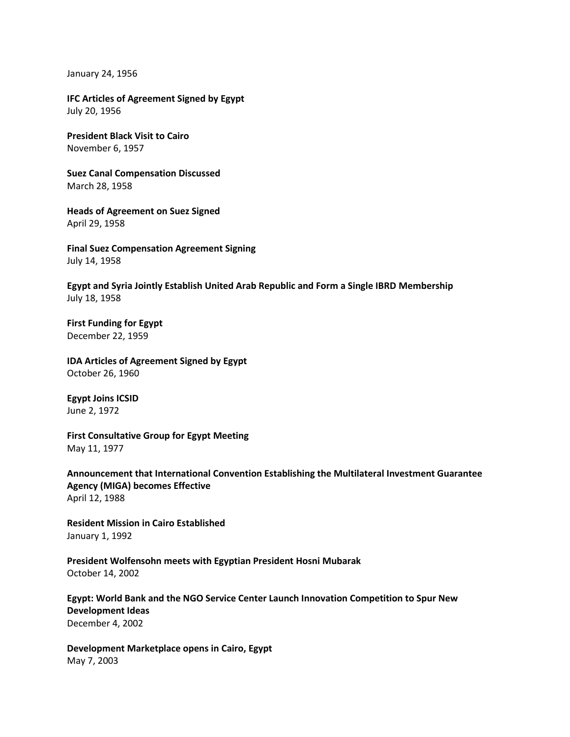January 24, 1956

**IFC Articles of Agreement Signed by Egypt** July 20, 1956

**President Black Visit to Cairo** November 6, 1957

**Suez Canal Compensation Discussed**  March 28, 1958

**Heads of Agreement on Suez Signed**  April 29, 1958

**Final Suez Compensation Agreement Signing**  July 14, 1958

**Egypt and Syria Jointly Establish United Arab Republic and Form a Single IBRD Membership** July 18, 1958

**First Funding for Egypt**  December 22, 1959

**IDA Articles of Agreement Signed by Egypt**  October 26, 1960

**Egypt Joins ICSID** June 2, 1972

**First Consultative Group for Egypt Meeting** May 11, 1977

**Announcement that International Convention Establishing the Multilateral Investment Guarantee Agency (MIGA) becomes Effective** April 12, 1988

**Resident Mission in Cairo Established** January 1, 1992

**President Wolfensohn meets with Egyptian President Hosni Mubarak**  October 14, 2002

**Egypt: World Bank and the NGO Service Center Launch Innovation Competition to Spur New Development Ideas** December 4, 2002

**Development Marketplace opens in Cairo, Egypt** May 7, 2003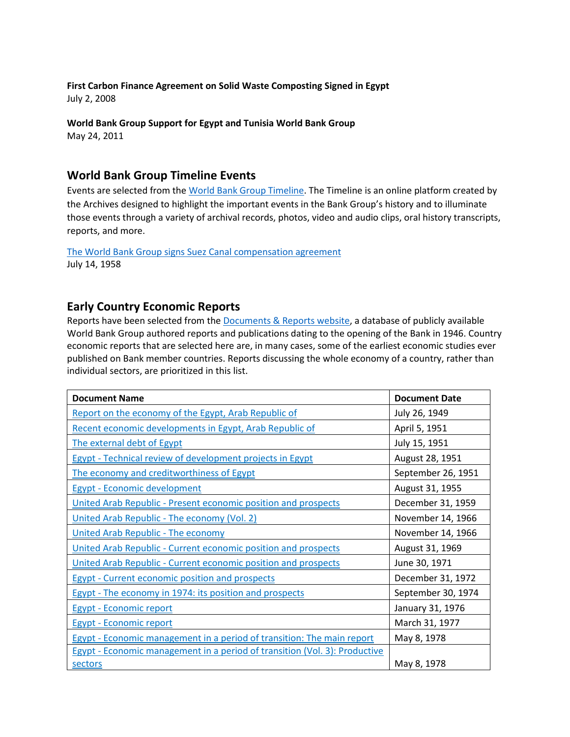#### **First Carbon Finance Agreement on Solid Waste Composting Signed in Egypt** July 2, 2008

## **World Bank Group Support for Egypt and Tunisia World Bank Group**

May 24, 2011

# **World Bank Group Timeline Events**

Events are selected from th[e World Bank Group Timeline.](https://timeline.worldbank.org/#event-bretton-woods-conference-begins) The Timeline is an online platform created by the Archives designed to highlight the important events in the Bank Group's history and to illuminate those events through a variety of archival records, photos, video and audio clips, oral history transcripts, reports, and more.

#### [The World Bank Group signs Suez Canal compensation agreement](https://timeline.worldbank.org/?field_timeline_target_id=All&combine=suez#event-the-world-bank-group-signs-suez-canal-compensation-agreement) July 14, 1958

## **Early Country Economic Reports**

Reports have been selected from the [Documents & Reports website,](https://documents.worldbank.org/) a database of publicly available World Bank Group authored reports and publications dating to the opening of the Bank in 1946. Country economic reports that are selected here are, in many cases, some of the earliest economic studies ever published on Bank member countries. Reports discussing the whole economy of a country, rather than individual sectors, are prioritized in this list.

| <b>Document Name</b>                                                              | <b>Document Date</b> |
|-----------------------------------------------------------------------------------|----------------------|
| Report on the economy of the Egypt, Arab Republic of                              | July 26, 1949        |
| Recent economic developments in Egypt, Arab Republic of                           | April 5, 1951        |
| The external debt of Egypt                                                        | July 15, 1951        |
| Egypt - Technical review of development projects in Egypt                         | August 28, 1951      |
| The economy and creditworthiness of Egypt                                         | September 26, 1951   |
| <b>Egypt - Economic development</b>                                               | August 31, 1955      |
| United Arab Republic - Present economic position and prospects                    | December 31, 1959    |
| United Arab Republic - The economy (Vol. 2)                                       | November 14, 1966    |
| <b>United Arab Republic - The economy</b>                                         | November 14, 1966    |
| United Arab Republic - Current economic position and prospects                    | August 31, 1969      |
| United Arab Republic - Current economic position and prospects                    | June 30, 1971        |
| <b>Egypt - Current economic position and prospects</b>                            | December 31, 1972    |
| Egypt - The economy in 1974: its position and prospects                           | September 30, 1974   |
| <b>Egypt - Economic report</b>                                                    | January 31, 1976     |
| <b>Egypt - Economic report</b>                                                    | March 31, 1977       |
| <b>Egypt - Economic management in a period of transition: The main report</b>     | May 8, 1978          |
| <b>Egypt - Economic management in a period of transition (Vol. 3): Productive</b> |                      |
| sectors                                                                           | May 8, 1978          |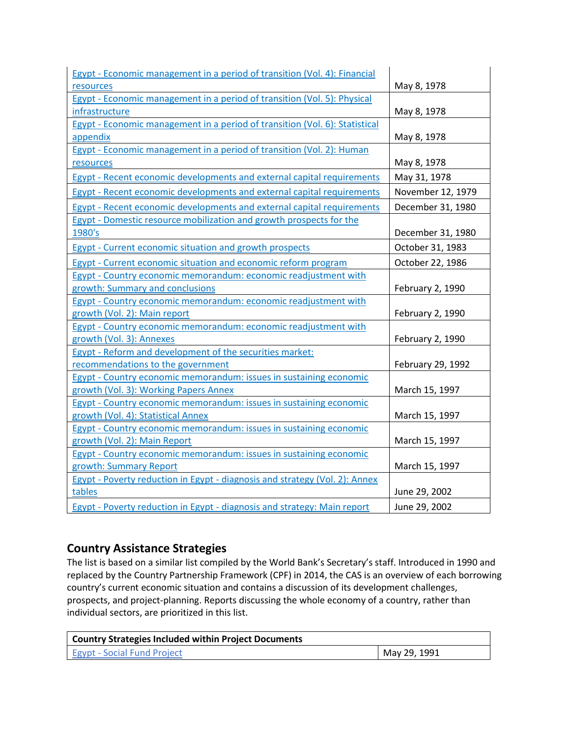| Egypt - Economic management in a period of transition (Vol. 4): Financial   |                   |
|-----------------------------------------------------------------------------|-------------------|
| resources                                                                   | May 8, 1978       |
| Egypt - Economic management in a period of transition (Vol. 5): Physical    |                   |
| infrastructure                                                              | May 8, 1978       |
| Egypt - Economic management in a period of transition (Vol. 6): Statistical |                   |
| appendix                                                                    | May 8, 1978       |
| Egypt - Economic management in a period of transition (Vol. 2): Human       |                   |
| resources                                                                   | May 8, 1978       |
| Egypt - Recent economic developments and external capital requirements      | May 31, 1978      |
| Egypt - Recent economic developments and external capital requirements      | November 12, 1979 |
| Egypt - Recent economic developments and external capital requirements      | December 31, 1980 |
| Egypt - Domestic resource mobilization and growth prospects for the         |                   |
| 1980's                                                                      | December 31, 1980 |
| <b>Egypt - Current economic situation and growth prospects</b>              | October 31, 1983  |
| <b>Egypt - Current economic situation and economic reform program</b>       | October 22, 1986  |
| Egypt - Country economic memorandum: economic readjustment with             |                   |
| growth: Summary and conclusions                                             | February 2, 1990  |
| Egypt - Country economic memorandum: economic readjustment with             |                   |
| growth (Vol. 2): Main report                                                | February 2, 1990  |
| Egypt - Country economic memorandum: economic readjustment with             |                   |
| growth (Vol. 3): Annexes                                                    | February 2, 1990  |
| Egypt - Reform and development of the securities market:                    |                   |
| recommendations to the government                                           | February 29, 1992 |
| Egypt - Country economic memorandum: issues in sustaining economic          |                   |
| growth (Vol. 3): Working Papers Annex                                       | March 15, 1997    |
| Egypt - Country economic memorandum: issues in sustaining economic          |                   |
| growth (Vol. 4): Statistical Annex                                          | March 15, 1997    |
| Egypt - Country economic memorandum: issues in sustaining economic          |                   |
| growth (Vol. 2): Main Report                                                | March 15, 1997    |
| Egypt - Country economic memorandum: issues in sustaining economic          |                   |
| growth: Summary Report                                                      | March 15, 1997    |
| Egypt - Poverty reduction in Egypt - diagnosis and strategy (Vol. 2): Annex |                   |
| tables                                                                      | June 29, 2002     |
| Egypt - Poverty reduction in Egypt - diagnosis and strategy: Main report    | June 29, 2002     |

# **Country Assistance Strategies**

The list is based on a similar list compiled by the World Bank's Secretary's staff. Introduced in 1990 and replaced by the Country Partnership Framework (CPF) in 2014, the CAS is an overview of each borrowing country's current economic situation and contains a discussion of its development challenges, prospects, and project-planning. Reports discussing the whole economy of a country, rather than individual sectors, are prioritized in this list.

| Country Strategies Included within Project Documents |              |
|------------------------------------------------------|--------------|
| <b>Egypt - Social Fund Project</b>                   | May 29, 1991 |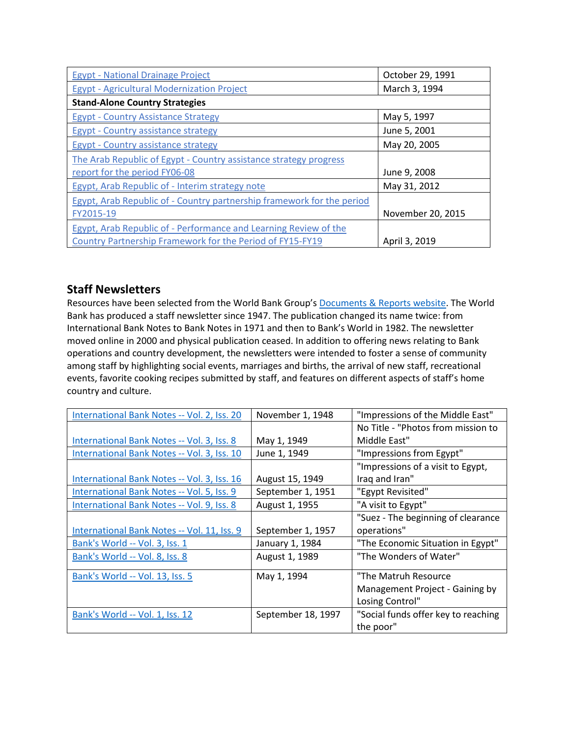| <b>Egypt - National Drainage Project</b>                               | October 29, 1991  |
|------------------------------------------------------------------------|-------------------|
| <b>Egypt - Agricultural Modernization Project</b>                      | March 3, 1994     |
| <b>Stand-Alone Country Strategies</b>                                  |                   |
| <b>Egypt - Country Assistance Strategy</b>                             | May 5, 1997       |
| Egypt - Country assistance strategy                                    | June 5, 2001      |
| <b>Egypt - Country assistance strategy</b>                             | May 20, 2005      |
| The Arab Republic of Egypt - Country assistance strategy progress      |                   |
| report for the period FY06-08                                          | June 9, 2008      |
| Egypt, Arab Republic of - Interim strategy note                        | May 31, 2012      |
| Egypt, Arab Republic of - Country partnership framework for the period |                   |
| FY2015-19                                                              | November 20, 2015 |
| Egypt, Arab Republic of - Performance and Learning Review of the       |                   |
| Country Partnership Framework for the Period of FY15-FY19              | April 3, 2019     |

## **Staff Newsletters**

Resources have been selected from the World Bank Group's [Documents & Reports website.](https://documents.worldbank.org/) The World Bank has produced a staff newsletter since 1947. The publication changed its name twice: from International Bank Notes to Bank Notes in 1971 and then to Bank's World in 1982. The newsletter moved online in 2000 and physical publication ceased. In addition to offering news relating to Bank operations and country development, the newsletters were intended to foster a sense of community among staff by highlighting social events, marriages and births, the arrival of new staff, recreational events, favorite cooking recipes submitted by staff, and features on different aspects of staff's home country and culture.

| International Bank Notes -- Vol. 2, Iss. 20 | November 1, 1948   | "Impressions of the Middle East"    |
|---------------------------------------------|--------------------|-------------------------------------|
|                                             |                    | No Title - "Photos from mission to  |
| International Bank Notes -- Vol. 3, Iss. 8  | May 1, 1949        | Middle East"                        |
| International Bank Notes -- Vol. 3, Iss. 10 | June 1, 1949       | "Impressions from Egypt"            |
|                                             |                    | "Impressions of a visit to Egypt,   |
| International Bank Notes -- Vol. 3, Iss. 16 | August 15, 1949    | Iraq and Iran"                      |
| International Bank Notes -- Vol. 5, Iss. 9  | September 1, 1951  | "Egypt Revisited"                   |
| International Bank Notes -- Vol. 9, Iss. 8  | August 1, 1955     | "A visit to Egypt"                  |
|                                             |                    | "Suez - The beginning of clearance  |
| International Bank Notes -- Vol. 11, Iss. 9 | September 1, 1957  | operations"                         |
| Bank's World -- Vol. 3, Iss. 1              | January 1, 1984    | "The Economic Situation in Egypt"   |
| Bank's World -- Vol. 8, Iss. 8              | August 1, 1989     | "The Wonders of Water"              |
| Bank's World -- Vol. 13, Iss. 5             | May 1, 1994        | "The Matruh Resource                |
|                                             |                    | Management Project - Gaining by     |
|                                             |                    | Losing Control"                     |
| Bank's World -- Vol. 1, Iss. 12             | September 18, 1997 | "Social funds offer key to reaching |
|                                             |                    | the poor"                           |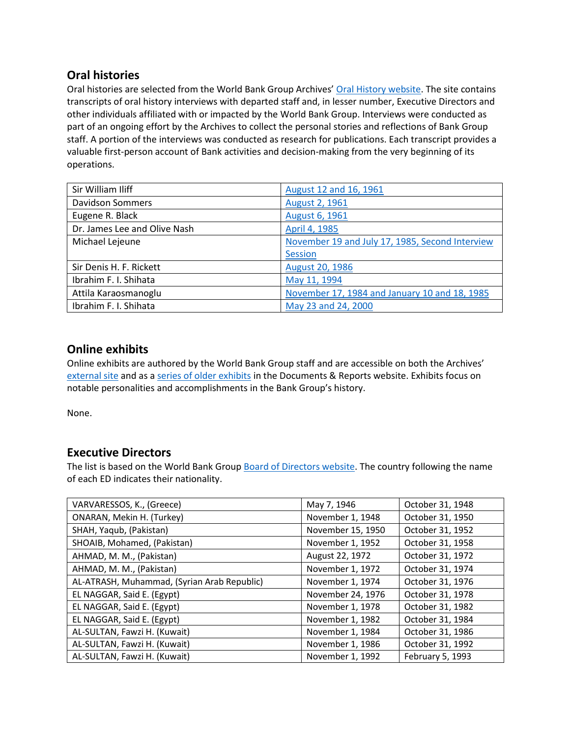## **Oral histories**

Oral histories are selected from the World Bank Group Archives' [Oral History website.](https://oralhistory.worldbank.org/) The site contains transcripts of oral history interviews with departed staff and, in lesser number, Executive Directors and other individuals affiliated with or impacted by the World Bank Group. Interviews were conducted as part of an ongoing effort by the Archives to collect the personal stories and reflections of Bank Group staff. A portion of the interviews was conducted as research for publications. Each transcript provides a valuable first-person account of Bank activities and decision-making from the very beginning of its operations.

| Sir William Iliff            | August 12 and 16, 1961                          |
|------------------------------|-------------------------------------------------|
| <b>Davidson Sommers</b>      | August 2, 1961                                  |
| Eugene R. Black              | <b>August 6, 1961</b>                           |
| Dr. James Lee and Olive Nash | April 4, 1985                                   |
| Michael Lejeune              | November 19 and July 17, 1985, Second Interview |
|                              | Session                                         |
| Sir Denis H. F. Rickett      | August 20, 1986                                 |
| Ibrahim F. I. Shihata        | May 11, 1994                                    |
| Attila Karaosmanoglu         | November 17, 1984 and January 10 and 18, 1985   |
| Ibrahim F. I. Shihata        | May 23 and 24, 2000                             |

## **Online exhibits**

Online exhibits are authored by the World Bank Group staff and are accessible on both the Archives' [external site](https://www.worldbank.org/en/about/archives/history/exhibits) and as a [series of older exhibits](https://documents.worldbank.org/en/publication/documents-reports/documentlist?colti=World%20Bank%20Group%20Archives%20exhibit%20series) in the Documents & Reports website. Exhibits focus on notable personalities and accomplishments in the Bank Group's history.

None.

## **Executive Directors**

The list is based on the World Bank Group [Board of Directors website.](https://worldbankgroup.sharepoint.com/sites/wbsites/ExecutiveBoard/Pages/pc/About-the-Boards-05222019-155532/List-of-Executi-05222019-155839.aspx) The country following the name of each ED indicates their nationality.

| VARVARESSOS, K., (Greece)                   | May 7, 1946       | October 31, 1948 |
|---------------------------------------------|-------------------|------------------|
| ONARAN, Mekin H. (Turkey)                   | November 1, 1948  | October 31, 1950 |
| SHAH, Yaqub, (Pakistan)                     | November 15, 1950 | October 31, 1952 |
| SHOAIB, Mohamed, (Pakistan)                 | November 1, 1952  | October 31, 1958 |
| AHMAD, M. M., (Pakistan)                    | August 22, 1972   | October 31, 1972 |
| AHMAD, M. M., (Pakistan)                    | November 1, 1972  | October 31, 1974 |
| AL-ATRASH, Muhammad, (Syrian Arab Republic) | November 1, 1974  | October 31, 1976 |
| EL NAGGAR, Said E. (Egypt)                  | November 24, 1976 | October 31, 1978 |
| EL NAGGAR, Said E. (Egypt)                  | November 1, 1978  | October 31, 1982 |
| EL NAGGAR, Said E. (Egypt)                  | November 1, 1982  | October 31, 1984 |
| AL-SULTAN, Fawzi H. (Kuwait)                | November 1, 1984  | October 31, 1986 |
| AL-SULTAN, Fawzi H. (Kuwait)                | November 1, 1986  | October 31, 1992 |
| AL-SULTAN, Fawzi H. (Kuwait)                | November 1, 1992  | February 5, 1993 |